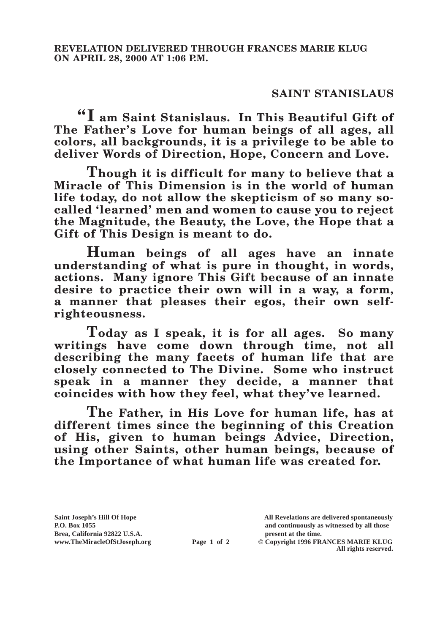## **SAINT STANISLAUS**

**"I am Saint Stanislaus. In This Beautiful Gift of The Father's Love for human beings of all ages, all colors, all backgrounds, it is a privilege to be able to deliver Words of Direction, Hope, Concern and Love.**

**Though it is difficult for many to believe that a Miracle of This Dimension is in the world of human life today, do not allow the skepticism of so many socalled 'learned' men and women to cause you to reject the Magnitude, the Beauty, the Love, the Hope that a Gift of This Design is meant to do.**

**Human beings of all ages have an innate understanding of what is pure in thought, in words, actions. Many ignore This Gift because of an innate desire to practice their own will in a way, a form, a manner that pleases their egos, their own selfrighteousness.**

**Today as I speak, it is for all ages. So many writings have come down through time, not all describing the many facets of human life that are closely connected to The Divine. Some who instruct speak in a manner they decide, a manner that coincides with how they feel, what they've learned.**

**The Father, in His Love for human life, has at different times since the beginning of this Creation of His, given to human beings Advice, Direction, using other Saints, other human beings, because of the Importance of what human life was created for.**

**Saint Joseph's Hill Of Hope All Revelations are delivered spontaneously Brea, California 92822 U.S.A. present at the time.**<br> **present at the time.**<br> **present at the time.**<br> **present at the time.**<br> **present at the time.**<br> **present at the time.** 

**P.O. Box 1055 and continuously as witnessed by all those** 

**Page 1 of 2** © Copyright 1996 FRANCES MARIE KLUG **All rights reserved.**